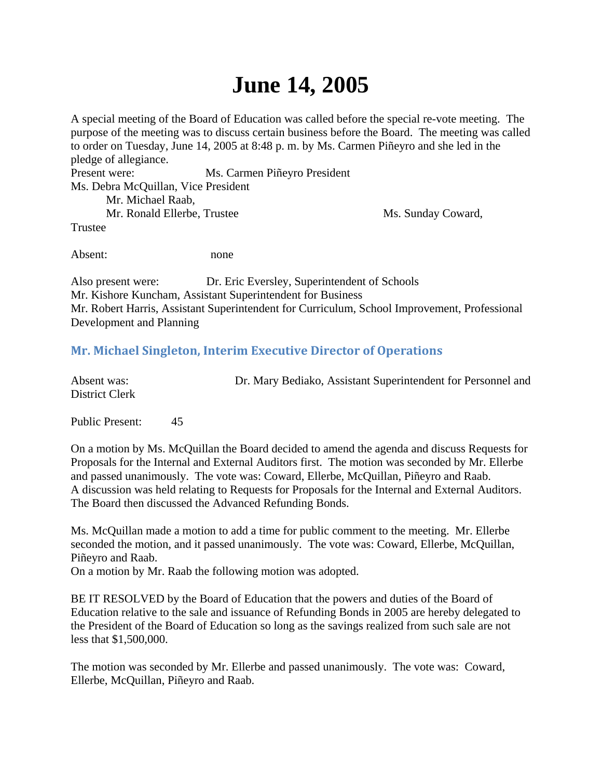## **June 14, 2005**

A special meeting of the Board of Education was called before the special re-vote meeting. The purpose of the meeting was to discuss certain business before the Board. The meeting was called to order on Tuesday, June 14, 2005 at 8:48 p. m. by Ms. Carmen Piñeyro and she led in the pledge of allegiance. Present were: Ms. Carmen Piñeyro President Ms. Debra McQuillan, Vice President Mr. Michael Raab, Mr. Ronald Ellerbe, Trustee Ms. Sunday Coward, Trustee

Absent: none

Also present were: Dr. Eric Eversley, Superintendent of Schools Mr. Kishore Kuncham, Assistant Superintendent for Business Mr. Robert Harris, Assistant Superintendent for Curriculum, School Improvement, Professional Development and Planning

## **Mr. Michael Singleton, Interim Executive Director of Operations**

| Absent was:    | Dr. Mary Bediako, Assistant Superintendent for Personnel and |
|----------------|--------------------------------------------------------------|
| District Clerk |                                                              |

Public Present: 45

On a motion by Ms. McQuillan the Board decided to amend the agenda and discuss Requests for Proposals for the Internal and External Auditors first. The motion was seconded by Mr. Ellerbe and passed unanimously. The vote was: Coward, Ellerbe, McQuillan, Piñeyro and Raab. A discussion was held relating to Requests for Proposals for the Internal and External Auditors. The Board then discussed the Advanced Refunding Bonds.

Ms. McQuillan made a motion to add a time for public comment to the meeting. Mr. Ellerbe seconded the motion, and it passed unanimously. The vote was: Coward, Ellerbe, McQuillan, Piñeyro and Raab.

On a motion by Mr. Raab the following motion was adopted.

BE IT RESOLVED by the Board of Education that the powers and duties of the Board of Education relative to the sale and issuance of Refunding Bonds in 2005 are hereby delegated to the President of the Board of Education so long as the savings realized from such sale are not less that \$1,500,000.

The motion was seconded by Mr. Ellerbe and passed unanimously. The vote was: Coward, Ellerbe, McQuillan, Piñeyro and Raab.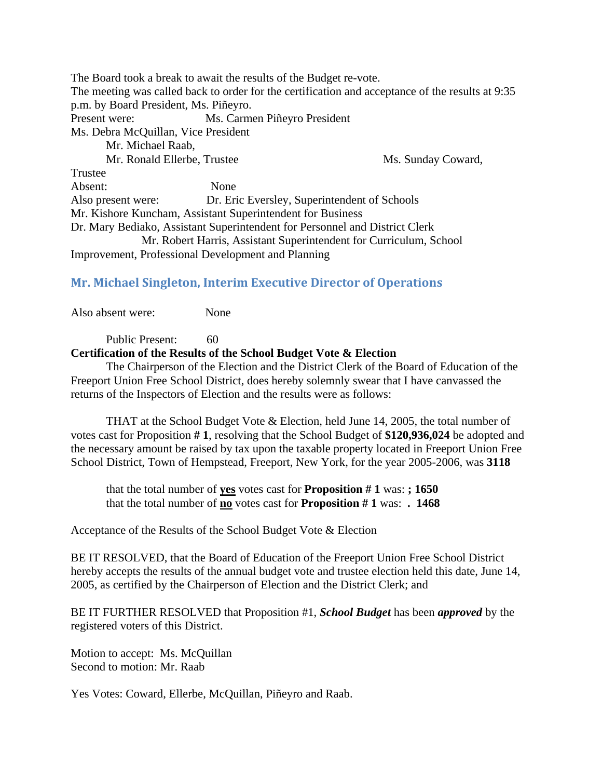The Board took a break to await the results of the Budget re-vote. The meeting was called back to order for the certification and acceptance of the results at 9:35 p.m. by Board President, Ms. Piñeyro. Present were: Ms. Carmen Piñeyro President Ms. Debra McQuillan, Vice President Mr. Michael Raab, Mr. Ronald Ellerbe, Trustee Ms. Sunday Coward, Trustee Absent: None Also present were: Dr. Eric Eversley, Superintendent of Schools Mr. Kishore Kuncham, Assistant Superintendent for Business Dr. Mary Bediako, Assistant Superintendent for Personnel and District Clerk Mr. Robert Harris, Assistant Superintendent for Curriculum, School Improvement, Professional Development and Planning

## **Mr. Michael Singleton, Interim Executive Director of Operations**

Also absent were: None

Public Present: 60 **Certification of the Results of the School Budget Vote & Election**

 The Chairperson of the Election and the District Clerk of the Board of Education of the Freeport Union Free School District, does hereby solemnly swear that I have canvassed the returns of the Inspectors of Election and the results were as follows:

 THAT at the School Budget Vote & Election, held June 14, 2005, the total number of votes cast for Proposition **# 1**, resolving that the School Budget of **\$120,936,024** be adopted and the necessary amount be raised by tax upon the taxable property located in Freeport Union Free School District, Town of Hempstead, Freeport, New York, for the year 2005-2006, was **3118**

 that the total number of **yes** votes cast for **Proposition # 1** was: **; 1650** that the total number of **no** votes cast for **Proposition # 1** was: **. 1468**

Acceptance of the Results of the School Budget Vote & Election

BE IT RESOLVED, that the Board of Education of the Freeport Union Free School District hereby accepts the results of the annual budget vote and trustee election held this date, June 14, 2005, as certified by the Chairperson of Election and the District Clerk; and

BE IT FURTHER RESOLVED that Proposition #1, *School Budget* has been *approved* by the registered voters of this District.

Motion to accept: Ms. McQuillan Second to motion: Mr. Raab

Yes Votes: Coward, Ellerbe, McQuillan, Piñeyro and Raab.